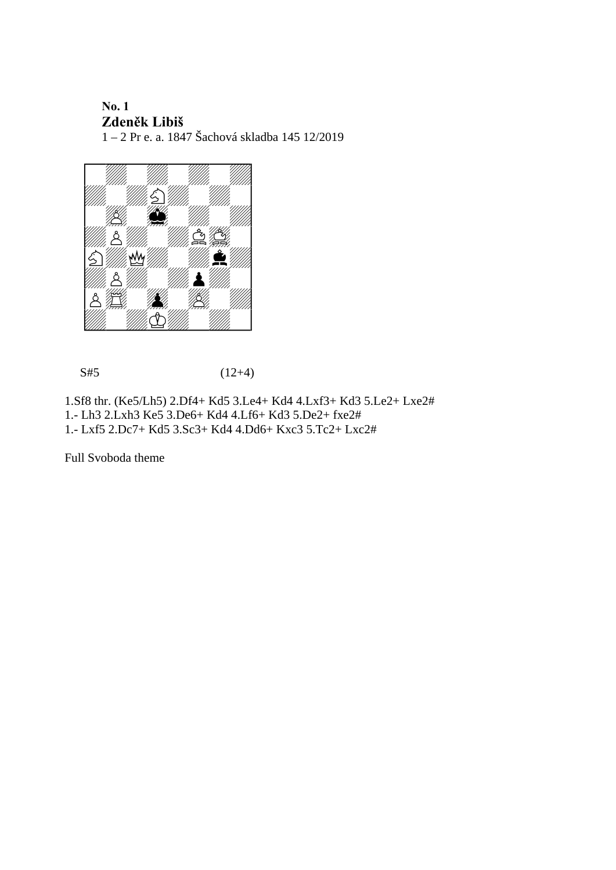## **No. 1 Zdeněk Libiš**

1 – 2 Pr e. a. 1847 Šachová skladba 145 12/2019



 $S#5$  (12+4)

1.Sf8 thr. (Ke5/Lh5) 2.Df4+ Kd5 3.Le4+ Kd4 4.Lxf3+ Kd3 5.Le2+ Lxe2# 1.- Lh3 2.Lxh3 Ke5 3.De6+ Kd4 4.Lf6+ Kd3 5.De2+ fxe2#

1.- Lxf5 2.Dc7+ Kd5 3.Sc3+ Kd4 4.Dd6+ Kxc3 5.Tc2+ Lxc2#

Full Svoboda theme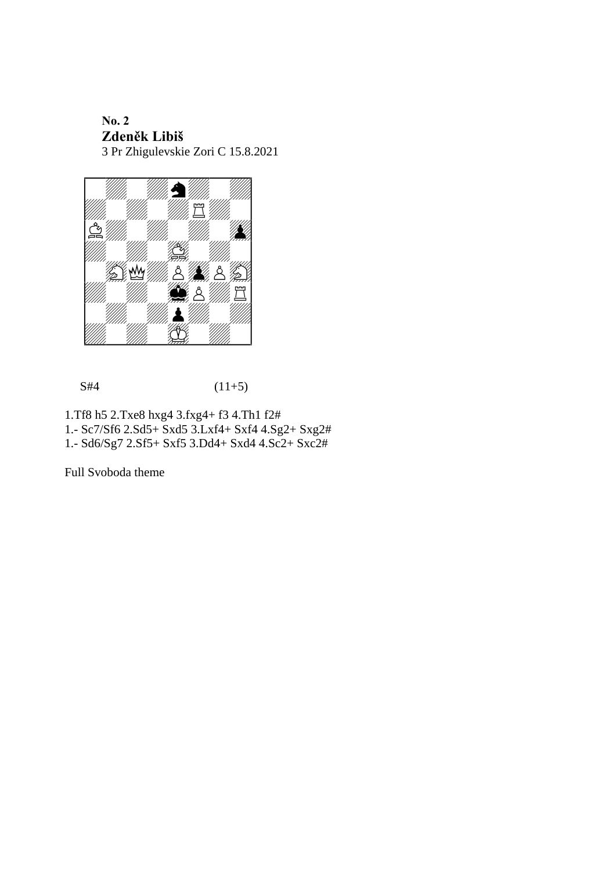**No. 2 Zdeněk Libiš** 3 Pr Zhigulevskie Zori C 15.8.2021



 $S#4$  (11+5)

1.Tf8 h5 2.Txe8 hxg4 3.fxg4+ f3 4.Th1 f2#

- 1.- Sc7/Sf6 2.Sd5+ Sxd5 3.Lxf4+ Sxf4 4.Sg2+ Sxg2#
- 1.- Sd6/Sg7 2.Sf5+ Sxf5 3.Dd4+ Sxd4 4.Sc2+ Sxc2#

Full Svoboda theme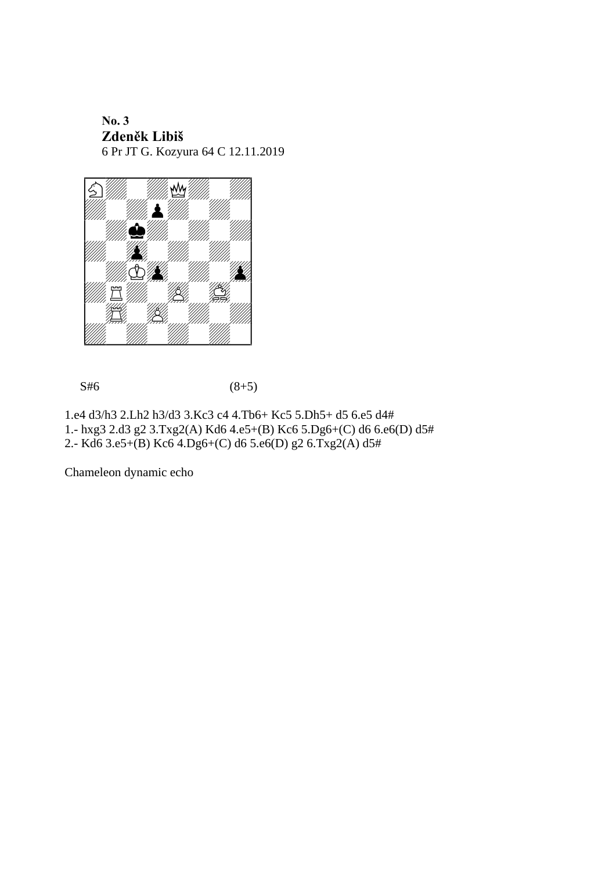**No. 3 Zdeněk Libiš** 6 Pr JT G. Kozyura 64 C 12.11.2019



 $S#6$  (8+5)

1.e4 d3/h3 2.Lh2 h3/d3 3.Kc3 c4 4.Tb6+ Kc5 5.Dh5+ d5 6.e5 d4# 1.- hxg3 2.d3 g2 3.Txg2(A) Kd6 4.e5+(B) Kc6 5.Dg6+(C) d6 6.e6(D) d5# 2.- Kd6 3.e5+(B) Kc6 4.Dg6+(C) d6 5.e6(D) g2 6.Txg2(A) d5#

Chameleon dynamic echo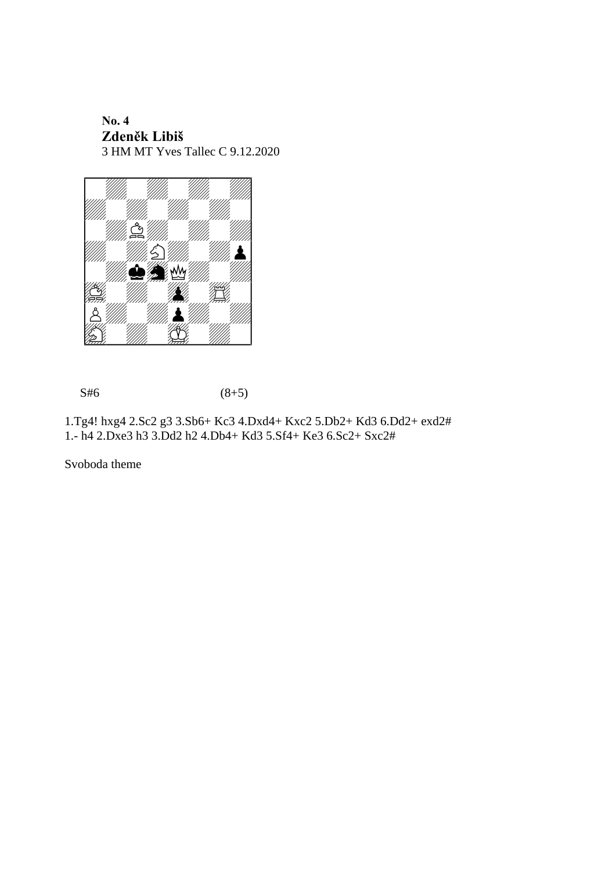**No. 4 Zdeněk Libiš** 3 HM MT Yves Tallec C 9.12.2020



 $S#6$  (8+5)

1.Tg4! hxg4 2.Sc2 g3 3.Sb6+ Kc3 4.Dxd4+ Kxc2 5.Db2+ Kd3 6.Dd2+ exd2# 1.- h4 2.Dxe3 h3 3.Dd2 h2 4.Db4+ Kd3 5.Sf4+ Ke3 6.Sc2+ Sxc2#

Svoboda theme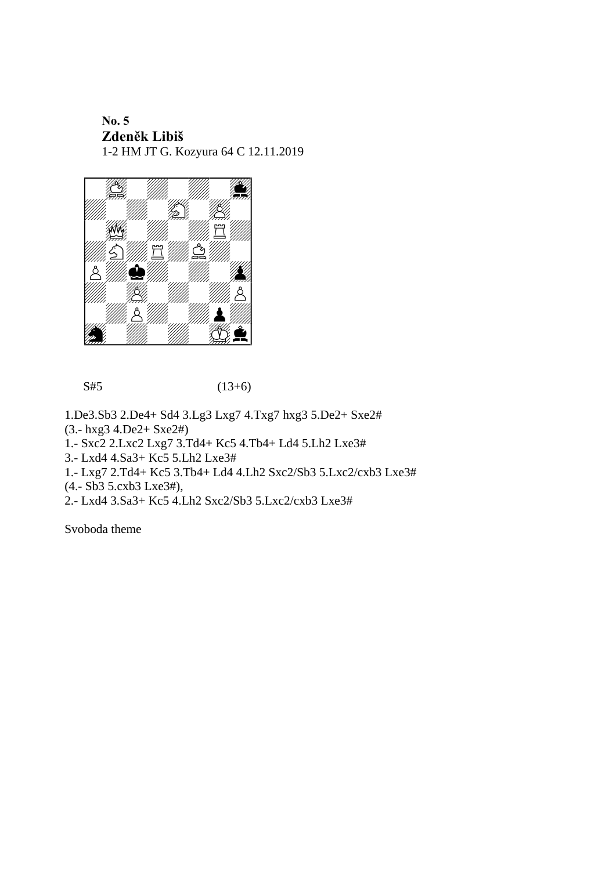## **No. 5 Zdeněk Libiš** 1-2 HM JT G. Kozyura 64 C 12.11.2019



 $S#5$  (13+6)

1.De3.Sb3 2.De4+ Sd4 3.Lg3 Lxg7 4.Txg7 hxg3 5.De2+ Sxe2#

(3.- hxg3 4.De2+ Sxe2#)

1.- Sxc2 2.Lxc2 Lxg7 3.Td4+ Kc5 4.Tb4+ Ld4 5.Lh2 Lxe3#

3.- Lxd4 4.Sa3+ Kc5 5.Lh2 Lxe3#

1.- Lxg7 2.Td4+ Kc5 3.Tb4+ Ld4 4.Lh2 Sxc2/Sb3 5.Lxc2/cxb3 Lxe3#

(4.- Sb3 5.cxb3 Lxe3#),

2.- Lxd4 3.Sa3+ Kc5 4.Lh2 Sxc2/Sb3 5.Lxc2/cxb3 Lxe3#

Svoboda theme